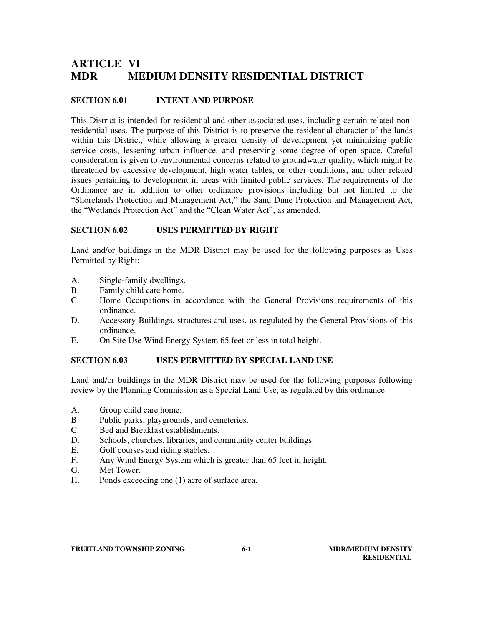# **ARTICLE VI MDR MEDIUM DENSITY RESIDENTIAL DISTRICT**

## **SECTION 6.01 INTENT AND PURPOSE**

This District is intended for residential and other associated uses, including certain related nonresidential uses. The purpose of this District is to preserve the residential character of the lands within this District, while allowing a greater density of development yet minimizing public service costs, lessening urban influence, and preserving some degree of open space. Careful consideration is given to environmental concerns related to groundwater quality, which might be threatened by excessive development, high water tables, or other conditions, and other related issues pertaining to development in areas with limited public services. The requirements of the Ordinance are in addition to other ordinance provisions including but not limited to the "Shorelands Protection and Management Act," the Sand Dune Protection and Management Act, the "Wetlands Protection Act" and the "Clean Water Act", as amended.

### **SECTION 6.02 USES PERMITTED BY RIGHT**

Land and/or buildings in the MDR District may be used for the following purposes as Uses Permitted by Right:

- A. Single-family dwellings.
- B. Family child care home.
- C. Home Occupations in accordance with the General Provisions requirements of this ordinance.
- D. Accessory Buildings, structures and uses, as regulated by the General Provisions of this ordinance.
- E. On Site Use Wind Energy System 65 feet or less in total height.

#### **SECTION 6.03 USES PERMITTED BY SPECIAL LAND USE**

Land and/or buildings in the MDR District may be used for the following purposes following review by the Planning Commission as a Special Land Use, as regulated by this ordinance.

- A. Group child care home.
- B. Public parks, playgrounds, and cemeteries.
- C. Bed and Breakfast establishments.
- D. Schools, churches, libraries, and community center buildings.
- E. Golf courses and riding stables.
- F. Any Wind Energy System which is greater than 65 feet in height.
- G. Met Tower.
- H. Ponds exceeding one (1) acre of surface area.